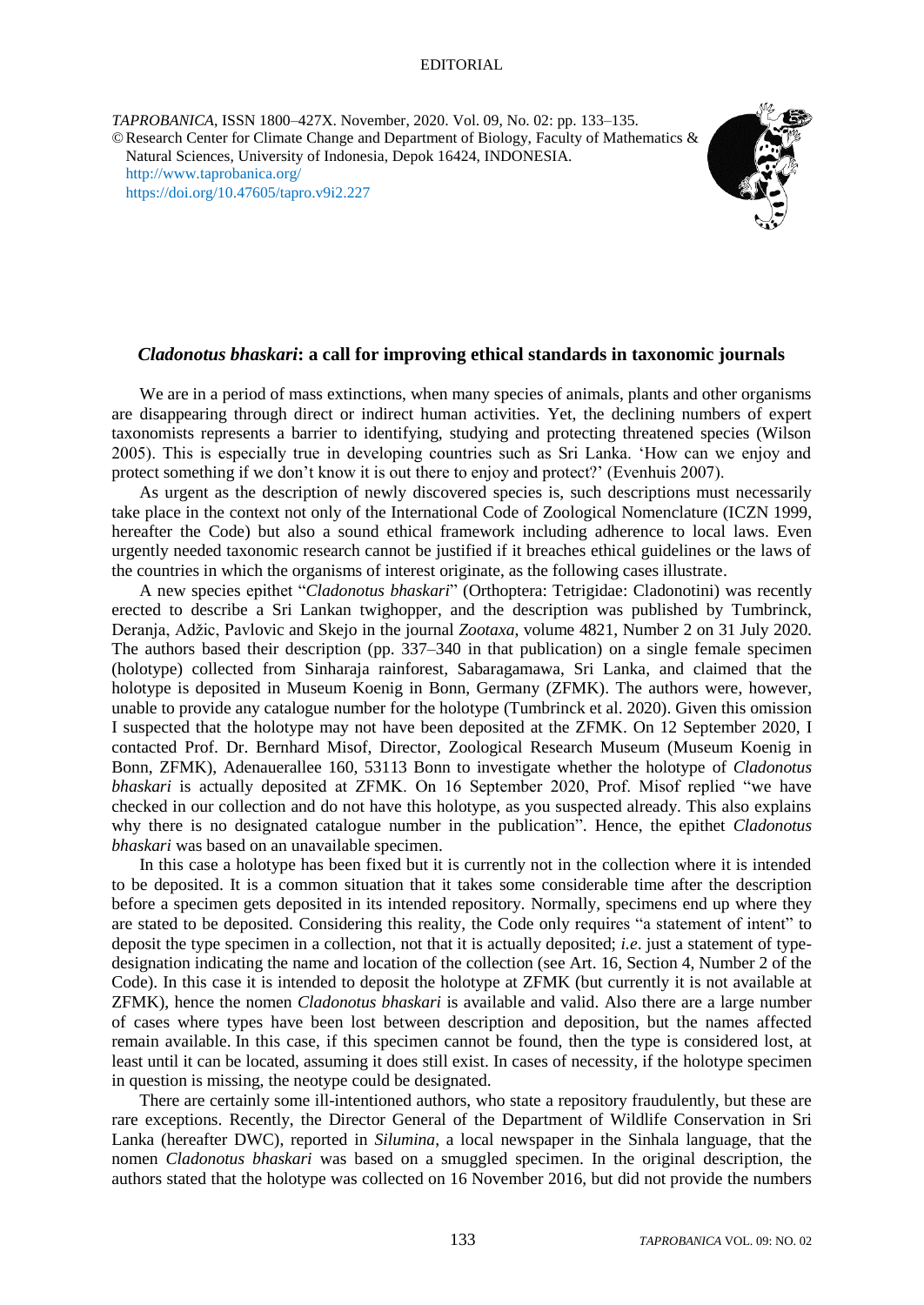*TAPROBANICA*, ISSN 1800–427X. November, 2020. Vol. 09, No. 02: pp. 133–135. ©Research Center for Climate Change and Department of Biology, Faculty of Mathematics & Natural Sciences, University of Indonesia, Depok 16424, INDONESIA. <http://www.taprobanica.org/> <https://doi.org/10.47605/tapro.v9i2.227>



# *Cladonotus bhaskari***: a call for improving ethical standards in taxonomic journals**

We are in a period of mass extinctions, when many species of animals, plants and other organisms are disappearing through direct or indirect human activities. Yet, the declining numbers of expert taxonomists represents a barrier to identifying, studying and protecting threatened species (Wilson 2005). This is especially true in developing countries such as Sri Lanka. ‗How can we enjoy and protect something if we don't know it is out there to enjoy and protect?' (Evenhuis 2007).

As urgent as the description of newly discovered species is, such descriptions must necessarily take place in the context not only of the International Code of Zoological Nomenclature (ICZN 1999, hereafter the Code) but also a sound ethical framework including adherence to local laws. Even urgently needed taxonomic research cannot be justified if it breaches ethical guidelines or the laws of the countries in which the organisms of interest originate, as the following cases illustrate.

A new species epithet "Cladonotus bhaskari" (Orthoptera: Tetrigidae: Cladonotini) was recently erected to describe a Sri Lankan twighopper, and the description was published by Tumbrinck, Deranja, Adžic, Pavlovic and Skejo in the journal *Zootaxa*, volume 4821, Number 2 on 31 July 2020. The authors based their description (pp. 337–340 in that publication) on a single female specimen (holotype) collected from Sinharaja rainforest, Sabaragamawa, Sri Lanka, and claimed that the holotype is deposited in Museum Koenig in Bonn, Germany (ZFMK). The authors were, however, unable to provide any catalogue number for the holotype (Tumbrinck et al. 2020). Given this omission I suspected that the holotype may not have been deposited at the ZFMK. On 12 September 2020, I contacted Prof. Dr. Bernhard Misof, Director, Zoological Research Museum (Museum Koenig in Bonn, ZFMK), Adenauerallee 160, 53113 Bonn to investigate whether the holotype of *Cladonotus bhaskari* is actually deposited at ZFMK. On 16 September 2020, Prof. Misof replied "we have checked in our collection and do not have this holotype, as you suspected already. This also explains why there is no designated catalogue number in the publication<sup>"</sup>. Hence, the epithet *Cladonotus bhaskari* was based on an unavailable specimen.

In this case a holotype has been fixed but it is currently not in the collection where it is intended to be deposited. It is a common situation that it takes some considerable time after the description before a specimen gets deposited in its intended repository. Normally, specimens end up where they are stated to be deposited. Considering this reality, the Code only requires "a statement of intent" to deposit the type specimen in a collection, not that it is actually deposited; *i.e*. just a statement of typedesignation indicating the name and location of the collection (see Art. 16, Section 4, Number 2 of the Code). In this case it is intended to deposit the holotype at ZFMK (but currently it is not available at ZFMK), hence the nomen *Cladonotus bhaskari* is available and valid. Also there are a large number of cases where types have been lost between description and deposition, but the names affected remain available. In this case, if this specimen cannot be found, then the type is considered lost, at least until it can be located, assuming it does still exist. In cases of necessity, if the holotype specimen in question is missing, the neotype could be designated.

There are certainly some ill-intentioned authors, who state a repository fraudulently, but these are rare exceptions. Recently, the Director General of the Department of Wildlife Conservation in Sri Lanka (hereafter DWC), reported in *Silumina*, a local newspaper in the Sinhala language, that the nomen *Cladonotus bhaskari* was based on a smuggled specimen. In the original description, the authors stated that the holotype was collected on 16 November 2016, but did not provide the numbers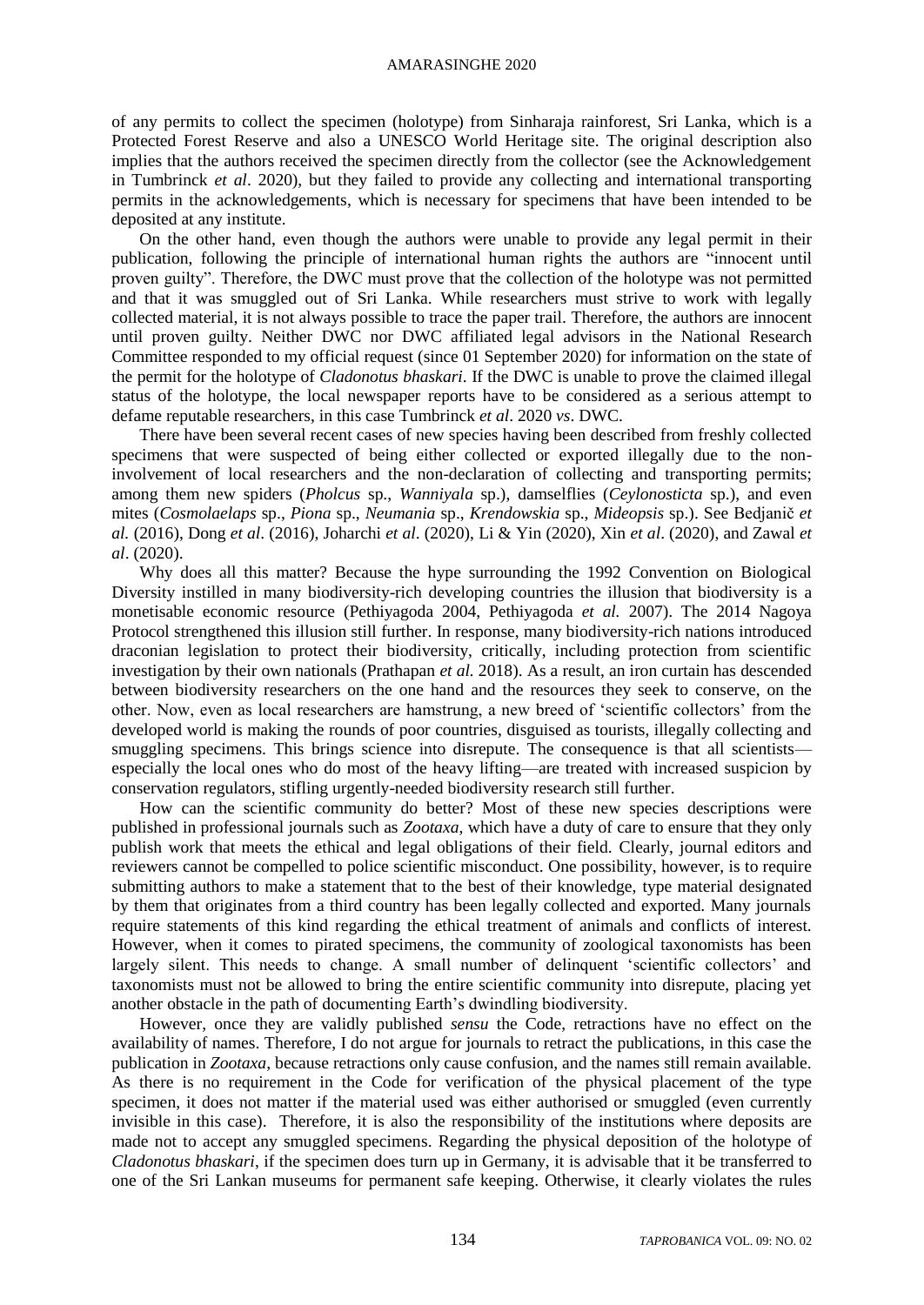#### AMARASINGHE 2020

of any permits to collect the specimen (holotype) from Sinharaja rainforest, Sri Lanka, which is a Protected Forest Reserve and also a UNESCO World Heritage site. The original description also implies that the authors received the specimen directly from the collector (see the Acknowledgement in Tumbrinck *et al*. 2020), but they failed to provide any collecting and international transporting permits in the acknowledgements, which is necessary for specimens that have been intended to be deposited at any institute.

On the other hand, even though the authors were unable to provide any legal permit in their publication, following the principle of international human rights the authors are "innocent until proven guilty". Therefore, the DWC must prove that the collection of the holotype was not permitted and that it was smuggled out of Sri Lanka. While researchers must strive to work with legally collected material, it is not always possible to trace the paper trail. Therefore, the authors are innocent until proven guilty. Neither DWC nor DWC affiliated legal advisors in the National Research Committee responded to my official request (since 01 September 2020) for information on the state of the permit for the holotype of *Cladonotus bhaskari*. If the DWC is unable to prove the claimed illegal status of the holotype, the local newspaper reports have to be considered as a serious attempt to defame reputable researchers, in this case Tumbrinck *et al*. 2020 *vs*. DWC.

There have been several recent cases of new species having been described from freshly collected specimens that were suspected of being either collected or exported illegally due to the noninvolvement of local researchers and the non-declaration of collecting and transporting permits; among them new spiders (*Pholcus* sp., *Wanniyala* sp.), damselflies (*Ceylonosticta* sp.), and even mites (*Cosmolaelaps* sp., *Piona* sp., *Neumania* sp., *Krendowskia* sp., *Mideopsis* sp.). See Bedjanič *et al.* (2016), Dong *et al*. (2016), Joharchi *et al*. (2020), Li & Yin (2020), Xin *et al*. (2020), and Zawal *et al*. (2020).

Why does all this matter? Because the hype surrounding the 1992 Convention on Biological Diversity instilled in many biodiversity-rich developing countries the illusion that biodiversity is a monetisable economic resource (Pethiyagoda 2004, Pethiyagoda *et al.* 2007). The 2014 Nagoya Protocol strengthened this illusion still further. In response, many biodiversity-rich nations introduced draconian legislation to protect their biodiversity, critically, including protection from scientific investigation by their own nationals (Prathapan *et al.* 2018). As a result, an iron curtain has descended between biodiversity researchers on the one hand and the resources they seek to conserve, on the other. Now, even as local researchers are hamstrung, a new breed of ‗scientific collectors' from the developed world is making the rounds of poor countries, disguised as tourists, illegally collecting and smuggling specimens. This brings science into disrepute. The consequence is that all scientists especially the local ones who do most of the heavy lifting—are treated with increased suspicion by conservation regulators, stifling urgently-needed biodiversity research still further.

How can the scientific community do better? Most of these new species descriptions were published in professional journals such as *Zootaxa*, which have a duty of care to ensure that they only publish work that meets the ethical and legal obligations of their field. Clearly, journal editors and reviewers cannot be compelled to police scientific misconduct. One possibility, however, is to require submitting authors to make a statement that to the best of their knowledge, type material designated by them that originates from a third country has been legally collected and exported. Many journals require statements of this kind regarding the ethical treatment of animals and conflicts of interest. However, when it comes to pirated specimens, the community of zoological taxonomists has been largely silent. This needs to change. A small number of delinquent 'scientific collectors' and taxonomists must not be allowed to bring the entire scientific community into disrepute, placing yet another obstacle in the path of documenting Earth's dwindling biodiversity.

However, once they are validly published *sensu* the Code, retractions have no effect on the availability of names. Therefore, I do not argue for journals to retract the publications, in this case the publication in *Zootaxa*, because retractions only cause confusion, and the names still remain available. As there is no requirement in the Code for verification of the physical placement of the type specimen, it does not matter if the material used was either authorised or smuggled (even currently invisible in this case). Therefore, it is also the responsibility of the institutions where deposits are made not to accept any smuggled specimens. Regarding the physical deposition of the holotype of *Cladonotus bhaskari*, if the specimen does turn up in Germany, it is advisable that it be transferred to one of the Sri Lankan museums for permanent safe keeping. Otherwise, it clearly violates the rules